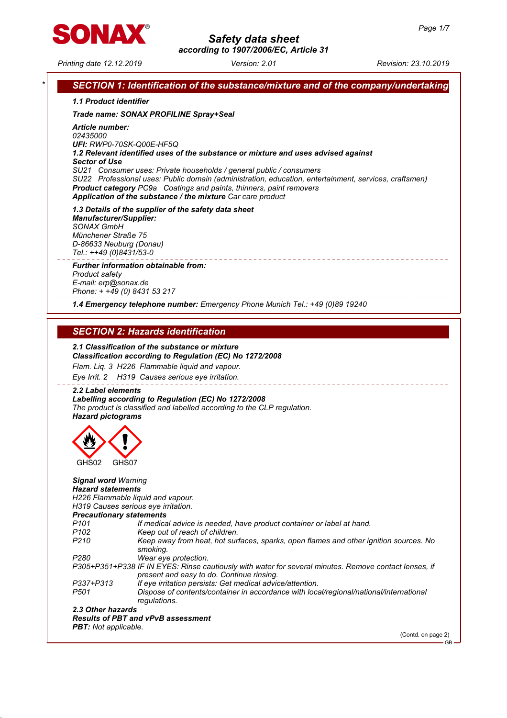

# Printing date 12.12.2019 Version: 2.01 Revision: 23.10.2019 SECTION 1: Identification of the substance/mixture and of the company/undertaking 1.1 Product identifier Trade name: SONAX PROFILINE Spray+Seal Article number: 02435000 UFI: RWP0-70SK-Q00E-HF5Q 1.2 Relevant identified uses of the substance or mixture and uses advised against Sector of Use SU21 Consumer uses: Private households / general public / consumers SU22 Professional uses: Public domain (administration, education, entertainment, services, craftsmen) Product category PC9a Coatings and paints, thinners, paint removers Application of the substance / the mixture Car care product 1.3 Details of the supplier of the safety data sheet Manufacturer/Supplier: SONAX GmbH Münchener Straße 75 D-86633 Neuburg (Donau) Tel.: ++49 (0)8431/53-0 Further information obtainable from: Product safety E-mail: erp@sonax.de Phone: + +49 (0) 8431 53 217 1.4 Emergency telephone number: Emergency Phone Munich Tel.: +49 (0)89 19240 SECTION 2: Hazards identification 2.1 Classification of the substance or mixture Classification according to Regulation (EC) No 1272/2008 Flam. Liq. 3 H226 Flammable liquid and vapour. Eye Irrit. 2 H319 Causes serious eye irritation. 2.2 Label elements Labelling according to Regulation (EC) No 1272/2008 The product is classified and labelled according to the CLP regulation. Hazard pictograms GHS02 GHS07 Signal word Warning Hazard statements H226 Flammable liquid and vapour. H319 Causes serious eye irritation. Precautionary statements P101 If medical advice is needed, have product container or label at hand. P102 Keep out of reach of children.<br>P210 Keep away from heat, hot sur Keep away from heat, hot surfaces, sparks, open flames and other ignition sources. No smoking. P280 Wear eye protection. P305+P351+P338 IF IN EYES: Rinse cautiously with water for several minutes. Remove contact lenses, if present and easy to do. Continue rinsing. P337+P313 If eye irritation persists: Get medical advice/attention. P501 Dispose of contents/container in accordance with local/regional/national/international regulations.

### 2.3 Other hazards Results of PBT and vPvB assessment PBT: Not applicable.

(Contd. on page 2)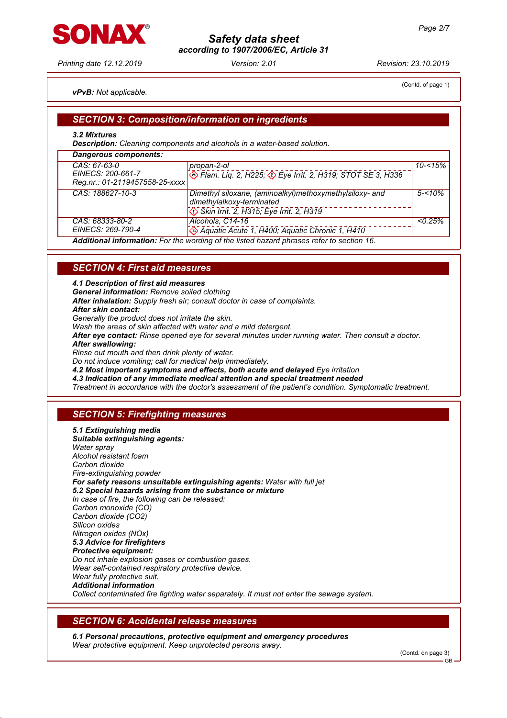Printing date 12.12.2019 Version: 2.01 Revision: 23.10.2019

## vPvB: Not applicable.

ONAV

(Contd. of page 1)

## SECTION 3: Composition/information on ingredients

### 3.2 Mixtures

Description: Cleaning components and alcohols in a water-based solution.

| <b>Dangerous components:</b>                                        |                                                                                                                                         |            |
|---------------------------------------------------------------------|-----------------------------------------------------------------------------------------------------------------------------------------|------------|
| CAS: 67-63-0<br>EINECS: 200-661-7<br>Reg.nr.: 01-2119457558-25-xxxx | propan-2-ol<br><b>&amp; Flam. Liq. 2, H225; &amp; Eye Irrit. 2, H319; STOT SE 3, H336</b>                                               | $10 - 15%$ |
| CAS: 188627-10-3                                                    | Dimethyl siloxane, (aminoalkyl)methoxymethylsiloxy- and<br>dimethylalkoxy-terminated<br>$\circ$ Skin Irrit. 2, H315; Eye Irrit. 2, H319 | $5 - 10\%$ |
| CAS: 68333-80-2<br>EINECS: 269-790-4                                | Alcohols, C14-16<br>Aquatic Acute 1, H400; Aquatic Chronic 1, H410                                                                      | < 0.25%    |
|                                                                     | Additional information: For the wording of the listed hazard phrases refer to section 16.                                               |            |

## **SECTION 4: First aid measures**

4.1 Description of first aid measures

General information: Remove soiled clothing

After inhalation: Supply fresh air; consult doctor in case of complaints.

After skin contact:

Generally the product does not irritate the skin.

Wash the areas of skin affected with water and a mild detergent.

After eye contact: Rinse opened eye for several minutes under running water. Then consult a doctor.

After swallowing:

Rinse out mouth and then drink plenty of water.

Do not induce vomiting; call for medical help immediately.

4.2 Most important symptoms and effects, both acute and delayed Eye irritation

4.3 Indication of any immediate medical attention and special treatment needed

Treatment in accordance with the doctor's assessment of the patient's condition. Symptomatic treatment.

# **SECTION 5: Firefighting measures**

5.1 Extinguishing media Suitable extinguishing agents: Water spray Alcohol resistant foam Carbon dioxide Fire-extinguishing powder For safety reasons unsuitable extinguishing agents: Water with full jet 5.2 Special hazards arising from the substance or mixture In case of fire, the following can be released: Carbon monoxide (CO) Carbon dioxide (CO2) Silicon oxides Nitrogen oxides (NOx) 5.3 Advice for firefighters Protective equipment: Do not inhale explosion gases or combustion gases. Wear self-contained respiratory protective device. Wear fully protective suit. Additional information Collect contaminated fire fighting water separately. It must not enter the sewage system.

## SECTION 6: Accidental release measures

6.1 Personal precautions, protective equipment and emergency procedures Wear protective equipment. Keep unprotected persons away.

(Contd. on page 3)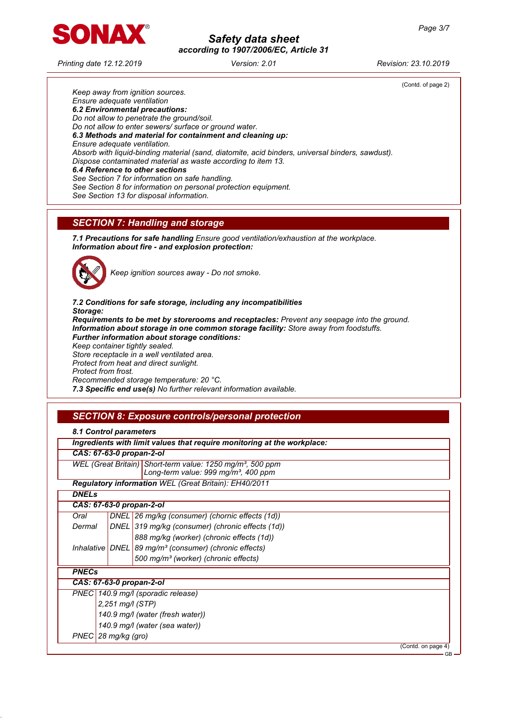

Printing date 12.12.2019 Version: 2.01 Revision: 23.10.2019

(Contd. of page 2) Keep away from ignition sources. Ensure adequate ventilation 6.2 Environmental precautions: Do not allow to penetrate the ground/soil. Do not allow to enter sewers/ surface or ground water. 6.3 Methods and material for containment and cleaning up: Ensure adequate ventilation. Absorb with liquid-binding material (sand, diatomite, acid binders, universal binders, sawdust). Dispose contaminated material as waste according to item 13. 6.4 Reference to other sections See Section 7 for information on safe handling.

See Section 8 for information on personal protection equipment.

See Section 13 for disposal information.

# SECTION 7: Handling and storage

7.1 Precautions for safe handling Ensure good ventilation/exhaustion at the workplace. Information about fire - and explosion protection:



Keep ignition sources away - Do not smoke.

7.2 Conditions for safe storage, including any incompatibilities Storage: Requirements to be met by storerooms and receptacles: Prevent any seepage into the ground. Information about storage in one common storage facility: Store away from foodstuffs. Further information about storage conditions: Keep container tightly sealed. Store receptacle in a well ventilated area. Protect from heat and direct sunlight. Protect from frost. Recommended storage temperature: 20 °C. 7.3 Specific end use(s) No further relevant information available.

# SECTION 8: Exposure controls/personal protection

|                       |  | Ingredients with limit values that require monitoring at the workplace: |  |
|-----------------------|--|-------------------------------------------------------------------------|--|
|                       |  | CAS: 67-63-0 propan-2-ol                                                |  |
|                       |  | WEL (Great Britain) Short-term value: 1250 mg/m <sup>3</sup> , 500 ppm  |  |
|                       |  | Long-term value: 999 mg/m <sup>3</sup> , 400 ppm                        |  |
|                       |  | Regulatory information WEL (Great Britain): EH40/2011                   |  |
| <b>DNELs</b>          |  |                                                                         |  |
|                       |  | CAS: 67-63-0 propan-2-ol                                                |  |
| Oral                  |  | DNEL 26 mg/kg (consumer) (chornic effects (1d))                         |  |
| Dermal                |  | DNEL 319 mg/kg (consumer) (chronic effects (1d))                        |  |
|                       |  | 888 mg/kg (worker) (chronic effects (1d))                               |  |
|                       |  | Inhalative   DNEL   89 mg/m <sup>3</sup> (consumer) (chronic effects)   |  |
|                       |  | 500 mg/m <sup>3</sup> (worker) (chronic effects)                        |  |
| <b>PNECs</b>          |  |                                                                         |  |
|                       |  | CAS: 67-63-0 propan-2-ol                                                |  |
|                       |  | PNEC 140.9 mg/l (sporadic release)                                      |  |
| 2,251 mg/l (STP)      |  |                                                                         |  |
|                       |  | 140.9 mg/l (water (fresh water))                                        |  |
|                       |  | 140.9 mg/l (water (sea water))                                          |  |
| $PNEC$ 28 mg/kg (gro) |  |                                                                         |  |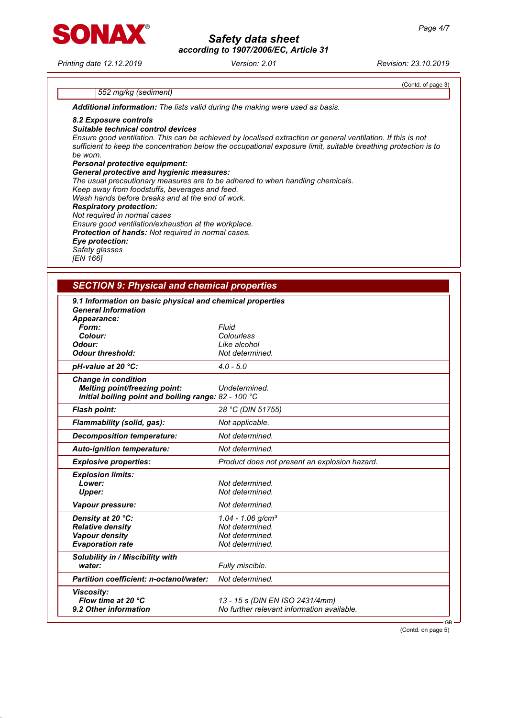Printing date 12.12.2019 Version: 2.01 Revision: 23.10.2019

SONAX

(Contd. of page 3)

## 552 mg/kg (sediment)

Additional information: The lists valid during the making were used as basis.

### 8.2 Exposure controls

### Suitable technical control devices

Ensure good ventilation. This can be achieved by localised extraction or general ventilation. If this is not sufficient to keep the concentration below the occupational exposure limit, suitable breathing protection is to be worn. Personal protective equipment:

# General protective and hygienic measures:

The usual precautionary measures are to be adhered to when handling chemicals. Keep away from foodstuffs, beverages and feed. Wash hands before breaks and at the end of work. Respiratory protection: Not required in normal cases

Ensure good ventilation/exhaustion at the workplace.

Protection of hands: Not required in normal cases.

# Eye protection:

Safety glasses

# [EN 166]

## SECTION 9: Physical and chemical properties

| 9.1 Information on basic physical and chemical properties                                                                  |                                                                               |
|----------------------------------------------------------------------------------------------------------------------------|-------------------------------------------------------------------------------|
| <b>General Information</b><br>Appearance:                                                                                  |                                                                               |
| Form:                                                                                                                      | Fluid                                                                         |
| Colour:                                                                                                                    | Colourless                                                                    |
| Odour:                                                                                                                     | Like alcohol                                                                  |
| <b>Odour threshold:</b>                                                                                                    | Not determined.                                                               |
| pH-value at 20 °C:                                                                                                         | $4.0 - 5.0$                                                                   |
| <b>Change in condition</b><br><b>Melting point/freezing point:</b><br>Initial boiling point and boiling range: 82 - 100 °C | Undetermined.                                                                 |
| <b>Flash point:</b>                                                                                                        | 28 °C (DIN 51755)                                                             |
| Flammability (solid, gas):                                                                                                 | Not applicable.                                                               |
| Decomposition temperature:                                                                                                 | Not determined.                                                               |
| <b>Auto-ignition temperature:</b>                                                                                          | Not determined.                                                               |
| <b>Explosive properties:</b>                                                                                               | Product does not present an explosion hazard.                                 |
| <b>Explosion limits:</b>                                                                                                   |                                                                               |
| Lower:                                                                                                                     | Not determined.                                                               |
| <b>Upper:</b>                                                                                                              | Not determined.                                                               |
| Vapour pressure:                                                                                                           | Not determined.                                                               |
| Density at 20 °C:                                                                                                          | $1.04 - 1.06$ g/cm <sup>3</sup>                                               |
| <b>Relative density</b>                                                                                                    | Not determined.                                                               |
| <b>Vapour density</b>                                                                                                      | Not determined.                                                               |
| <b>Evaporation rate</b>                                                                                                    | Not determined.                                                               |
| Solubility in / Miscibility with                                                                                           |                                                                               |
| water:                                                                                                                     | Fully miscible.                                                               |
| <b>Partition coefficient: n-octanol/water:</b>                                                                             | Not determined.                                                               |
| <b>Viscosity:</b><br>Flow time at 20 °C<br>9.2 Other information                                                           | 13 - 15 s (DIN EN ISO 2431/4mm)<br>No further relevant information available. |
|                                                                                                                            | $GB -$                                                                        |

(Contd. on page 5)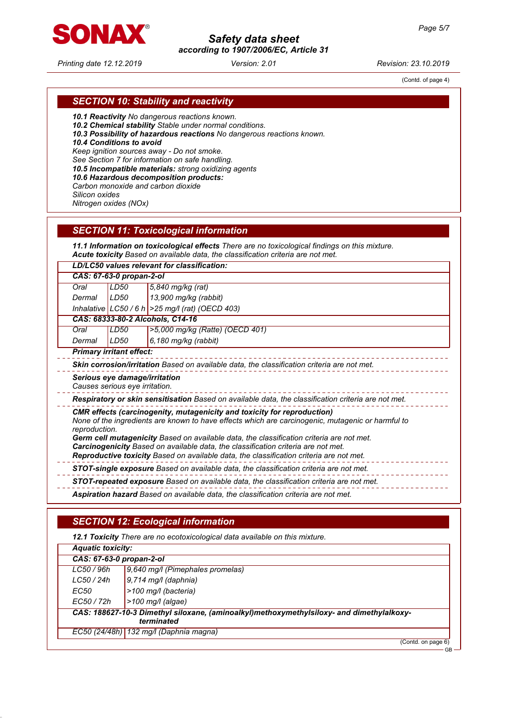

Printing date 12.12.2019 Version: 2.01 Revision: 23.10.2019

# Safety data sheet according to 1907/2006/EC, Article 31

(Contd. of page 4)

# SECTION 10: Stability and reactivity

10.1 Reactivity No dangerous reactions known.

10.2 Chemical stability Stable under normal conditions.

10.3 Possibility of hazardous reactions No dangerous reactions known.

10.4 Conditions to avoid

Keep ignition sources away - Do not smoke.

See Section 7 for information on safe handling.

10.5 Incompatible materials: strong oxidizing agents

10.6 Hazardous decomposition products:

Carbon monoxide and carbon dioxide

Silicon oxides Nitrogen oxides (NOx)

|  | <b>SECTION 11: Toxicological information</b> |  |
|--|----------------------------------------------|--|
|  |                                              |  |

11.1 Information on toxicological effects There are no toxicological findings on this mixture. Acute toxicity Based on available data, the classification criteria are not met.

LD/LC50 values relevant for classification:

| CAS: 67-63-0 propan-2-ol |  |                                                                                                                      |
|--------------------------|--|----------------------------------------------------------------------------------------------------------------------|
|                          |  |                                                                                                                      |
|                          |  |                                                                                                                      |
|                          |  | Oral LD50 5,840 mg/kg (rat)<br>Dermal LD50 13,900 mg/kg (rabbit)<br>Inhalative LC50 / 6 h > 25 mg/l (rat) (OECD 403) |

CAS: 68333-80-2 Alcohols, C14-16 Oral LD50 >5,000 mg/kg (Ratte) (OECD 401)

Dermal LD50 6,180 mg/kg (rabbit)

Primary irritant effect:

Skin corrosion/irritation Based on available data, the classification criteria are not met.

Serious eye damage/irritation Causes serious eye irritation.

Respiratory or skin sensitisation Based on available data, the classification criteria are not met.

CMR effects (carcinogenity, mutagenicity and toxicity for reproduction)

None of the ingredients are known to have effects which are carcinogenic, mutagenic or harmful to reproduction.

Germ cell mutagenicity Based on available data, the classification criteria are not met. Carcinogenicity Based on available data, the classification criteria are not met.

Reproductive toxicity Based on available data, the classification criteria are not met.

- 
- STOT-single exposure Based on available data, the classification criteria are not met.

STOT-repeated exposure Based on available data, the classification criteria are not met.

Aspiration hazard Based on available data, the classification criteria are not met.

# SECTION 12: Ecological information

12.1 Toxicity There are no ecotoxicological data available on this mixture. Aquatic toxicity: CAS: 67-63-0 propan-2-ol LC50 / 96h | 9,640 mg/l (Pimephales promelas)  $LC50 / 24h$  9,714 mg/l (daphnia)  $EC50$   $|>100$  mg/l (bacteria) EC50 / 72h >100 mg/l (algae) CAS: 188627-10-3 Dimethyl siloxane, (aminoalkyl)methoxymethylsiloxy- and dimethylalkoxyterminated EC50 (24/48h) 132 mg/l (Daphnia magna) (Contd. on page 6)

GB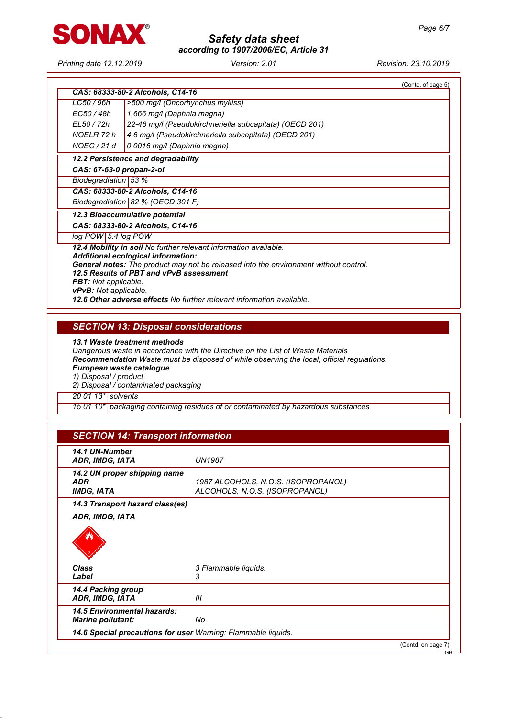

Printing date 12.12.2019 Version: 2.01 Revision: 23.10.2019

|                                   |                                                                                      | (Contd. of page 5) |
|-----------------------------------|--------------------------------------------------------------------------------------|--------------------|
|                                   | CAS: 68333-80-2 Alcohols, C14-16                                                     |                    |
| LC50 / 96h                        | >500 mg/l (Oncorhynchus mykiss)                                                      |                    |
| EC50 / 48h                        | 1,666 mg/l (Daphnia magna)                                                           |                    |
| EL50 / 72h                        | 22-46 mg/l (Pseudokirchneriella subcapitata) (OECD 201)                              |                    |
| NOELR 72 h                        | 4.6 mg/l (Pseudokirchneriella subcapitata) (OECD 201)                                |                    |
| NOEC / 21 d                       | 0.0016 mg/l (Daphnia magna)                                                          |                    |
|                                   | 12.2 Persistence and degradability                                                   |                    |
|                                   | CAS: 67-63-0 propan-2-ol                                                             |                    |
| Biodegradiation 53 %              |                                                                                      |                    |
| CAS: 68333-80-2 Alcohols, C14-16  |                                                                                      |                    |
| Biodegradiation 82 % (OECD 301 F) |                                                                                      |                    |
|                                   | 12.3 Bioaccumulative potential                                                       |                    |
|                                   | CAS: 68333-80-2 Alcohols, C14-16                                                     |                    |
| log POW 5.4 log POW               |                                                                                      |                    |
|                                   | 12.4 Mobility in soil No further relevant information available.                     |                    |
|                                   | <b>Additional ecological information:</b>                                            |                    |
|                                   | General notes: The product may not be released into the environment without control. |                    |
| <b>PBT:</b> Not applicable.       | 12.5 Results of PBT and vPvB assessment                                              |                    |
| vPvB: Not applicable.             |                                                                                      |                    |
|                                   | 12.6 Other adverse effects No further relevant information available.                |                    |
|                                   |                                                                                      |                    |
|                                   |                                                                                      |                    |

SECTION 13: Disposal considerations

13.1 Waste treatment methods

Dangerous waste in accordance with the Directive on the List of Waste Materials

Recommendation Waste must be disposed of while observing the local, official regulations.

European waste catalogue

1) Disposal / product

2) Disposal / contaminated packaging

20 01 13<sup>\*</sup> solvents

15 01 10\* packaging containing residues of or contaminated by hazardous substances

| 14.1 UN-Number<br>ADR, IMDG, IATA                               | <b>UN1987</b>                                                         |  |
|-----------------------------------------------------------------|-----------------------------------------------------------------------|--|
| 14.2 UN proper shipping name<br><b>ADR</b><br><b>IMDG, IATA</b> | 1987 ALCOHOLS, N.O.S. (ISOPROPANOL)<br>ALCOHOLS, N.O.S. (ISOPROPANOL) |  |
| 14.3 Transport hazard class(es)                                 |                                                                       |  |
| <b>Class</b><br>Label                                           | 3 Flammable liquids.<br>3                                             |  |
| 14.4 Packing group<br>ADR, IMDG, IATA                           | Ш                                                                     |  |
| <b>14.5 Environmental hazards:</b><br><b>Marine pollutant:</b>  | No                                                                    |  |
| 14.6 Special precautions for user Warning: Flammable liquids.   |                                                                       |  |